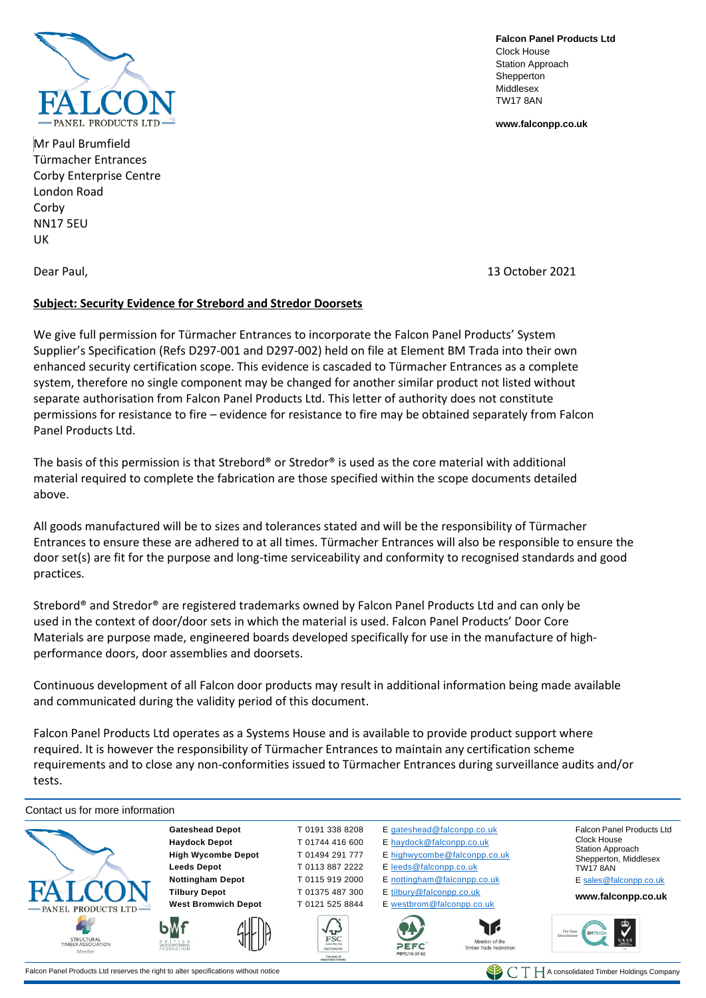

Mr Paul Brumfield Türmacher Entrances Corby Enterprise Centre London Road Corby NN17 5EU UK

**Falcon Panel Products Ltd** Clock House Station Approach **Shepperton** Middlesex TW17 8AN

**[www.falconpp.co.uk](http://www.falconpp.co.uk/)**

Dear Paul, 13 October 2021

## **Subject: Security Evidence for Strebord and Stredor Doorsets**

We give full permission for Türmacher Entrances to incorporate the Falcon Panel Products' System Supplier's Specification (Refs D297-001 and D297-002) held on file at Element BM Trada into their own enhanced security certification scope. This evidence is cascaded to Türmacher Entrances as a complete system, therefore no single component may be changed for another similar product not listed without separate authorisation from Falcon Panel Products Ltd. This letter of authority does not constitute permissions for resistance to fire – evidence for resistance to fire may be obtained separately from Falcon Panel Products Ltd.

The basis of this permission is that Strebord® or Stredor® is used as the core material with additional material required to complete the fabrication are those specified within the scope documents detailed above.

All goods manufactured will be to sizes and tolerances stated and will be the responsibility of Türmacher Entrances to ensure these are adhered to at all times. Türmacher Entrances will also be responsible to ensure the door set(s) are fit for the purpose and long-time serviceability and conformity to recognised standards and good practices.

Strebord® and Stredor® are registered trademarks owned by Falcon Panel Products Ltd and can only be used in the context of door/door sets in which the material is used. Falcon Panel Products' Door Core Materials are purpose made, engineered boards developed specifically for use in the manufacture of highperformance doors, door assemblies and doorsets.

Continuous development of all Falcon door products may result in additional information being made available and communicated during the validity period of this document.

Falcon Panel Products Ltd operates as a Systems House and is available to provide product support where required. It is however the responsibility of Türmacher Entrances to maintain any certification scheme requirements and to close any non-conformities issued to Türmacher Entrances during surveillance audits and/or tests.

Contact us for more information **Gateshead Depot** T 0191 338 8208 E [gateshead@falconpp.co.uk](mailto:gateshead@falconpp.co.uk) Falcon Panel Products Ltd **Haydock Depot** T 01744 416 600 E [haydock@falconpp.co.uk](mailto:haydock@falconpp.co.uk) Clock House Station Approach **High Wycombe Depot** T 01494 291 777 E [highwycombe@falconpp.co.uk](mailto:highwycombe@falconpp.co.uk) Shepperton, Middlesex **Leeds Depot** T 0113 887 2222 E [leeds@falconpp.co.uk](mailto:leeds@falconpp.co.uk) TW17 8AN **Nottingham Depot T** 0115 919 2000 E [nottingham@falconpp.co.uk](mailto:nottingham@falconpp.co.uk) [E sales@falconpp.co.uk](mailto:sales@falconpp.co.uk) **Tilbury Depot** T 01375 487 300 E [tilbury@falconpp.co.uk](mailto:tilbury@falconpp.co.uk) **www.falconpp.co.uk West Bromwich Depot** T 0121 525 8844 E [westbrom@falconpp.co.uk](mailto:westbrom@falconpp.co.uk) PANEL PRODUCTS LTD Y FSC ember of the<br>Trade Fed STRUCTURAL<br>TIMBER ASSOCIATION OFFC

Falcon Panel Products Ltd reserves the right to alter specifications without notice  $\blacksquare$  A consolidated Timber Holdings Company